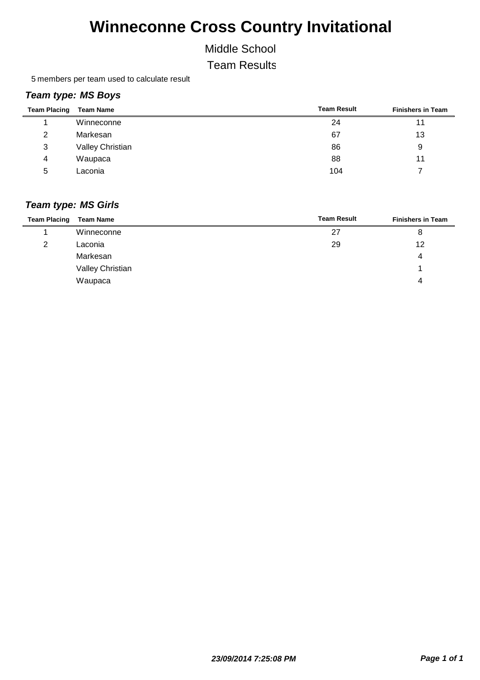Middle School

Team Results

5 members per team used to calculate result

### *Team type: MS Boys*

| <b>Team Placing</b> | <b>Team Name</b>        | <b>Team Result</b> | <b>Finishers in Team</b> |
|---------------------|-------------------------|--------------------|--------------------------|
|                     | Winneconne              | 24                 | 11                       |
| 2                   | Markesan                | 67                 | 13                       |
| 3                   | <b>Valley Christian</b> | 86                 | 9                        |
| 4                   | Waupaca                 | 88                 | 11                       |
| 5                   | Laconia                 | 104                |                          |

| <b>Team Placing</b> | <b>Team Name</b> | <b>Team Result</b> | <b>Finishers in Team</b> |
|---------------------|------------------|--------------------|--------------------------|
|                     | Winneconne       | 27                 | 8                        |
| 2                   | Laconia          | 29                 | 12                       |
|                     | Markesan         |                    | 4                        |
|                     | Valley Christian |                    |                          |
|                     | Waupaca          |                    | 4                        |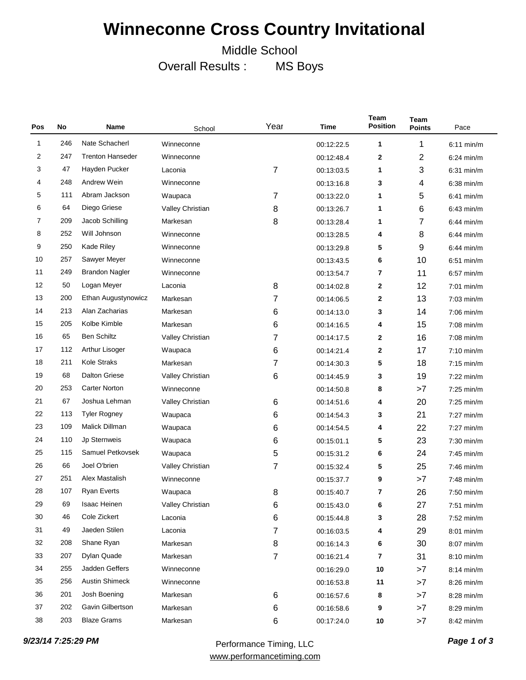Middle School

Overall Results : MS Boys

| Pos | No  | Name                    | Year<br>Time<br>School  |                | <b>Team</b><br><b>Position</b> | Team<br><b>Points</b> | Pace |              |
|-----|-----|-------------------------|-------------------------|----------------|--------------------------------|-----------------------|------|--------------|
| 1   | 246 | Nate Schacherl          | Winneconne              |                | 00:12:22.5                     | 1                     | 1    | $6:11$ min/m |
| 2   | 247 | <b>Trenton Hanseder</b> | Winneconne              |                | 00:12:48.4                     | $\mathbf 2$           | 2    | $6:24$ min/m |
| 3   | 47  | Hayden Pucker           | Laconia                 | 7              | 00:13:03.5                     | 1                     | 3    | $6:31$ min/m |
| 4   | 248 | <b>Andrew Wein</b>      | Winneconne              |                | 00:13:16.8                     | 3                     | 4    | $6:38$ min/m |
| 5   | 111 | Abram Jackson           | Waupaca                 | 7              | 00:13:22.0                     | 1                     | 5    | $6:41$ min/m |
| 6   | 64  | Diego Griese            | Valley Christian        | 8              | 00:13:26.7                     | 1                     | 6    | $6:43$ min/m |
| 7   | 209 | Jacob Schilling         | Markesan                | 8              | 00:13:28.4                     | 1                     | 7    | $6:44$ min/m |
| 8   | 252 | Will Johnson            | Winneconne              |                | 00:13:28.5                     | 4                     | 8    | $6:44$ min/m |
| 9   | 250 | Kade Riley              | Winneconne              |                | 00:13:29.8                     | 5                     | 9    | $6:44$ min/m |
| 10  | 257 | Sawyer Meyer            | Winneconne              |                | 00:13:43.5                     | 6                     | 10   | $6:51$ min/m |
| 11  | 249 | <b>Brandon Nagler</b>   | Winneconne              |                | 00:13:54.7                     | 7                     | 11   | $6:57$ min/m |
| 12  | 50  | Logan Meyer             | Laconia                 | 8              | 00:14:02.8                     | $\mathbf 2$           | 12   | $7:01$ min/m |
| 13  | 200 | Ethan Augustynowicz     | Markesan                | 7              | 00:14:06.5                     | $\mathbf 2$           | 13   | $7:03$ min/m |
| 14  | 213 | Alan Zacharias          | Markesan                | 6              | 00:14:13.0                     | 3                     | 14   | $7:06$ min/m |
| 15  | 205 | Kolbe Kimble            | Markesan                | 6              | 00:14:16.5                     | 4                     | 15   | $7:08$ min/m |
| 16  | 65  | <b>Ben Schiltz</b>      | Valley Christian        | 7              | 00:14:17.5                     | $\mathbf 2$           | 16   | $7:08$ min/m |
| 17  | 112 | Arthur Lisoger          | Waupaca                 | 6              | 00:14:21.4                     | $\mathbf 2$           | 17   | $7:10$ min/m |
| 18  | 211 | <b>Kole Straks</b>      | Markesan                | 7              | 00:14:30.3                     | 5                     | 18   | $7:15$ min/m |
| 19  | 68  | <b>Dalton Griese</b>    | Valley Christian        | 6              | 00:14:45.9                     | 3                     | 19   | $7:22$ min/m |
| 20  | 253 | <b>Carter Norton</b>    | Winneconne              |                | 00:14:50.8                     | 8                     | >7   | $7:25$ min/m |
| 21  | 67  | Joshua Lehman           | <b>Valley Christian</b> | 6              | 00:14:51.6                     | 4                     | 20   | $7:25$ min/m |
| 22  | 113 | <b>Tyler Rogney</b>     | Waupaca                 | 6              | 00:14:54.3                     | 3                     | 21   | $7:27$ min/m |
| 23  | 109 | Malick Dillman          | Waupaca                 | 6              | 00:14:54.5                     | 4                     | 22   | $7:27$ min/m |
| 24  | 110 | Jp Sternweis            | Waupaca                 | 6              | 00:15:01.1                     | 5                     | 23   | $7:30$ min/m |
| 25  | 115 | Samuel Petkovsek        | Waupaca                 | 5              | 00:15:31.2                     | 6                     | 24   | $7:45$ min/m |
| 26  | 66  | Joel O'brien            | Valley Christian        | $\overline{7}$ | 00:15:32.4                     | 5                     | 25   | $7:46$ min/m |
| 27  | 251 | Alex Mastalish          | Winneconne              |                | 00:15:37.7                     | 9                     | >7   | $7:48$ min/m |
| 28  | 107 | <b>Ryan Everts</b>      | Waupaca                 | 8              | 00:15:40.7                     | 7                     | 26   | $7:50$ min/m |
| 29  | 69  | Isaac Heinen            | Valley Christian        | 6              | 00:15:43.0                     | 6                     | 27   | $7:51$ min/m |
| 30  | 46  | Cole Zickert            | Laconia                 | 6              | 00:15:44.8                     | 3                     | 28   | 7:52 min/m   |
| 31  | 49  | Jaeden Stilen           | Laconia                 | 7              | 00:16:03.5                     | 4                     | 29   | 8:01 min/m   |
| 32  | 208 | Shane Ryan              | Markesan                | 8              | 00:16:14.3                     | 6                     | 30   | 8:07 min/m   |
| 33  | 207 | Dylan Quade             | Markesan                | 7              | 00:16:21.4                     | $\overline{7}$        | 31   | 8:10 min/m   |
| 34  | 255 | Jadden Geffers          | Winneconne              |                | 00:16:29.0                     | 10                    | >7   | $8:14$ min/m |
| 35  | 256 | <b>Austin Shimeck</b>   | Winneconne              |                | 00:16:53.8                     | 11                    | >7   | 8:26 min/m   |
| 36  | 201 | Josh Boening            | Markesan                | 6              | 00:16:57.6                     | 8                     | >7   | 8:28 min/m   |
| 37  | 202 | Gavin Gilbertson        | Markesan                | 6              | 00:16:58.6                     | 9                     | >7   | 8:29 min/m   |
| 38  | 203 | <b>Blaze Grams</b>      | Markesan                | 6              | 00:17:24.0                     | $10\,$                | >7   | 8:42 min/m   |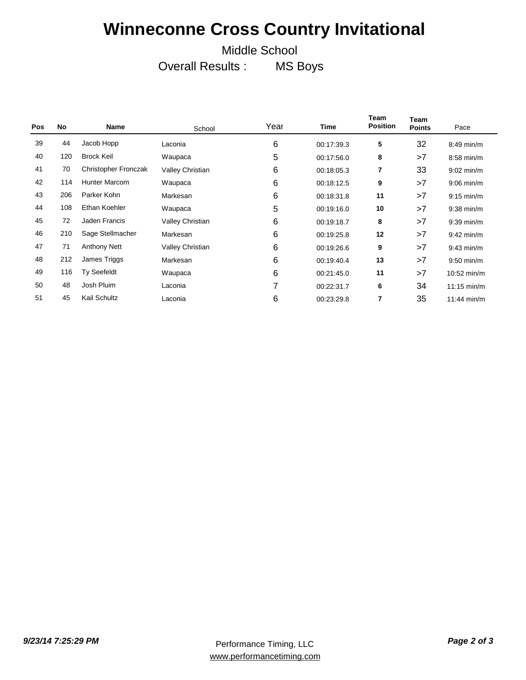### Middle School

Overall Results : MS Boys

| <b>Pos</b> | No  | Name                 | School           | Year | <b>Time</b> | Team<br><b>Position</b> | Team<br><b>Points</b> | Pace                  |
|------------|-----|----------------------|------------------|------|-------------|-------------------------|-----------------------|-----------------------|
| 39         | 44  | Jacob Hopp           | Laconia          | 6    | 00:17:39.3  | 5                       | 32                    | $8:49$ min/m          |
| 40         | 120 | <b>Brock Keil</b>    | Waupaca          | 5    | 00:17:56.0  | 8                       | >7                    | $8:58$ min/m          |
| 41         | 70  | Christopher Fronczak | Valley Christian | 6    | 00:18:05.3  | 7                       | 33                    | $9:02$ min/m          |
| 42         | 114 | <b>Hunter Marcom</b> | Waupaca          | 6    | 00:18:12.5  | 9                       | >7                    | $9:06$ min/m          |
| 43         | 206 | Parker Kohn          | Markesan         | 6    | 00:18:31.8  | 11                      | >7                    | $9:15$ min/m          |
| 44         | 108 | Ethan Koehler        | Waupaca          | 5    | 00:19:16.0  | 10                      | >7                    | $9:38$ min/m          |
| 45         | 72  | Jaden Francis        | Valley Christian | 6    | 00:19:18.7  | 8                       | >7                    | $9:39$ min/m          |
| 46         | 210 | Sage Stellmacher     | Markesan         | 6    | 00:19:25.8  | 12                      | >7                    | $9:42$ min/m          |
| 47         | 71  | <b>Anthony Nett</b>  | Valley Christian | 6    | 00:19:26.6  | 9                       | >7                    | $9:43$ min/m          |
| 48         | 212 | James Triggs         | Markesan         | 6    | 00:19:40.4  | 13                      | >7                    | $9:50$ min/m          |
| 49         | 116 | <b>Ty Seefeldt</b>   | Waupaca          | 6    | 00:21:45.0  | 11                      | >7                    | 10:52 min/m           |
| 50         | 48  | Josh Pluim           | Laconia          | 7    | 00:22:31.7  | 6                       | 34                    | $11:15 \text{ min/m}$ |
| 51         | 45  | Kail Schultz         | Laconia          | 6    | 00:23:29.8  | 7                       | 35                    | $11:44$ min/m         |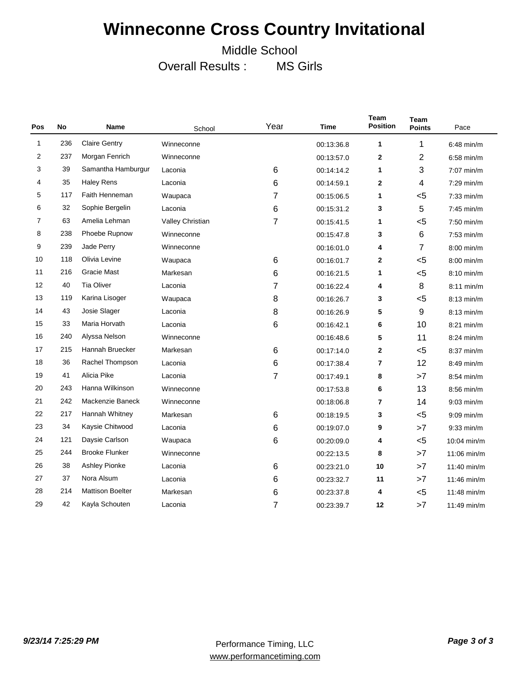Middle School

Overall Results : MS Girls

| Pos | No  | <b>Name</b>             | School           | Year  | <b>Time</b> | <b>Team</b><br><b>Position</b> | <b>Team</b><br><b>Points</b> | Pace          |
|-----|-----|-------------------------|------------------|-------|-------------|--------------------------------|------------------------------|---------------|
| 1   | 236 | <b>Claire Gentry</b>    | Winneconne       |       | 00:13:36.8  | $\mathbf 1$                    | 1                            | $6:48$ min/m  |
| 2   | 237 | Morgan Fenrich          | Winneconne       |       | 00:13:57.0  | $\mathbf{2}$                   | $\overline{2}$               | $6:58$ min/m  |
| 3   | 39  | Samantha Hamburgur      | Laconia          | 6     | 00:14:14.2  | 1                              | 3                            | $7:07$ min/m  |
| 4   | 35  | <b>Haley Rens</b>       | Laconia          | 6     | 00:14:59.1  | $\mathbf{2}$                   | 4                            | $7:29$ min/m  |
| 5   | 117 | Faith Henneman          | Waupaca          | 7     | 00:15:06.5  | $\mathbf 1$                    | $5$                          | $7:33$ min/m  |
| 6   | 32  | Sophie Bergelin         | Laconia          | 6     | 00:15:31.2  | 3                              | 5                            | $7:45$ min/m  |
| 7   | 63  | Amelia Lehman           | Valley Christian | 7     | 00:15:41.5  | 1                              | $5$                          | $7:50$ min/m  |
| 8   | 238 | Phoebe Rupnow           | Winneconne       |       | 00:15:47.8  | 3                              | $\,6$                        | $7:53$ min/m  |
| 9   | 239 | Jade Perry              | Winneconne       |       | 00:16:01.0  | 4                              | 7                            | $8:00$ min/m  |
| 10  | 118 | Olivia Levine           | Waupaca          | $\,6$ | 00:16:01.7  | 2                              | $5$                          | $8:00$ min/m  |
| 11  | 216 | <b>Gracie Mast</b>      | Markesan         | 6     | 00:16:21.5  | 1                              | $5$                          | 8:10 min/m    |
| 12  | 40  | <b>Tia Oliver</b>       | Laconia          | 7     | 00:16:22.4  | 4                              | 8                            | $8:11$ min/m  |
| 13  | 119 | Karina Lisoger          | Waupaca          | 8     | 00:16:26.7  | 3                              | $5$                          | $8:13$ min/m  |
| 14  | 43  | Josie Slager            | Laconia          | 8     | 00:16:26.9  | 5                              | 9                            | $8:13$ min/m  |
| 15  | 33  | Maria Horvath           | Laconia          | 6     | 00:16:42.1  | 6                              | 10                           | $8:21$ min/m  |
| 16  | 240 | Alyssa Nelson           | Winneconne       |       | 00:16:48.6  | 5                              | 11                           | 8:24 min/m    |
| 17  | 215 | Hannah Bruecker         | Markesan         | 6     | 00:17:14.0  | $\overline{2}$                 | $5$                          | $8:37$ min/m  |
| 18  | 36  | Rachel Thompson         | Laconia          | 6     | 00:17:38.4  | 7                              | 12                           | $8:49$ min/m  |
| 19  | 41  | Alicia Pike             | Laconia          | 7     | 00:17:49.1  | 8                              | >7                           | 8:54 min/m    |
| 20  | 243 | Hanna Wilkinson         | Winneconne       |       | 00:17:53.8  | 6                              | 13                           | $8:56$ min/m  |
| 21  | 242 | Mackenzie Baneck        | Winneconne       |       | 00:18:06.8  | $\overline{7}$                 | 14                           | $9:03$ min/m  |
| 22  | 217 | Hannah Whitney          | Markesan         | 6     | 00:18:19.5  | 3                              | $5$                          | $9:09$ min/m  |
| 23  | 34  | Kaysie Chitwood         | Laconia          | 6     | 00:19:07.0  | 9                              | >7                           | $9:33$ min/m  |
| 24  | 121 | Daysie Carlson          | Waupaca          | 6     | 00:20:09.0  | 4                              | $5$                          | $10:04$ min/m |
| 25  | 244 | <b>Brooke Flunker</b>   | Winneconne       |       | 00:22:13.5  | 8                              | >7                           | 11:06 min/m   |
| 26  | 38  | <b>Ashley Pionke</b>    | Laconia          | 6     | 00:23:21.0  | 10                             | >7                           | $11:40$ min/m |
| 27  | 37  | Nora Alsum              | Laconia          | 6     | 00:23:32.7  | 11                             | >7                           | $11:46$ min/m |
| 28  | 214 | <b>Mattison Boelter</b> | Markesan         | 6     | 00:23:37.8  | 4                              | $5$                          | $11:48$ min/m |
| 29  | 42  | Kayla Schouten          | Laconia          | 7     | 00:23:39.7  | 12                             | >7                           | $11:49$ min/m |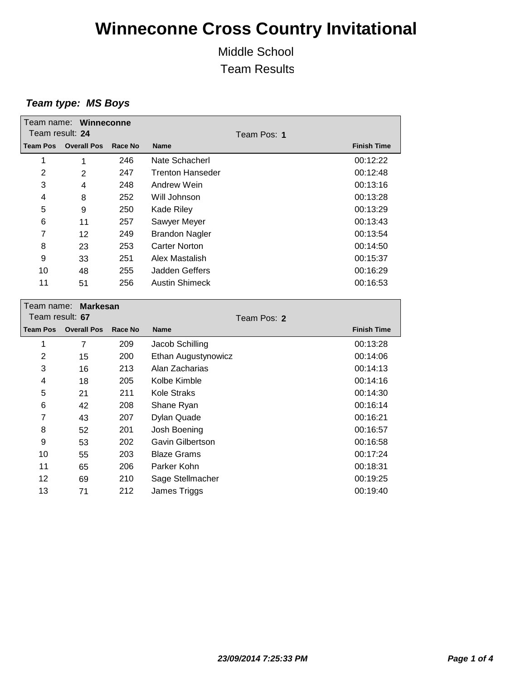Middle School Team Results

#### *Team type: MS Boys*

| Team name: Winneconne<br>Team result: 24 |                    |         |                         | Team Pos: 1 |                    |
|------------------------------------------|--------------------|---------|-------------------------|-------------|--------------------|
| <b>Team Pos</b>                          | <b>Overall Pos</b> | Race No | <b>Name</b>             |             | <b>Finish Time</b> |
| 1                                        | 1                  | 246     | Nate Schacherl          |             | 00:12:22           |
| 2                                        | 2                  | 247     | <b>Trenton Hanseder</b> |             | 00:12:48           |
| 3                                        | 4                  | 248     | Andrew Wein             |             | 00:13:16           |
| 4                                        | 8                  | 252     | Will Johnson            |             | 00:13:28           |
| 5                                        | 9                  | 250     | <b>Kade Riley</b>       |             | 00:13:29           |
| 6                                        | 11                 | 257     | Sawyer Meyer            |             | 00:13:43           |
| 7                                        | 12                 | 249     | <b>Brandon Nagler</b>   |             | 00:13:54           |
| 8                                        | 23                 | 253     | Carter Norton           |             | 00:14:50           |
| 9                                        | 33                 | 251     | Alex Mastalish          |             | 00:15:37           |
| 10                                       | 48                 | 255     | Jadden Geffers          |             | 00:16:29           |
| 11                                       | 51                 | 256     | <b>Austin Shimeck</b>   |             | 00:16:53           |

| Markesan<br>Team name: _ |                    |         |                     |                    |  |  |
|--------------------------|--------------------|---------|---------------------|--------------------|--|--|
| Team result: 67          |                    |         | Team Pos: 2         |                    |  |  |
| <b>Team Pos</b>          | <b>Overall Pos</b> | Race No | <b>Name</b>         | <b>Finish Time</b> |  |  |
| 1                        | $\overline{7}$     | 209     | Jacob Schilling     | 00:13:28           |  |  |
| $\overline{2}$           | 15                 | 200     | Ethan Augustynowicz | 00:14:06           |  |  |
| 3                        | 16                 | 213     | Alan Zacharias      | 00:14:13           |  |  |
| 4                        | 18                 | 205     | Kolbe Kimble        | 00:14:16           |  |  |
| 5                        | 21                 | 211     | Kole Straks         | 00:14:30           |  |  |
| 6                        | 42                 | 208     | Shane Ryan          | 00:16:14           |  |  |
| 7                        | 43                 | 207     | Dylan Quade         | 00:16:21           |  |  |
| 8                        | 52                 | 201     | Josh Boening        | 00:16:57           |  |  |
| 9                        | 53                 | 202     | Gavin Gilbertson    | 00:16:58           |  |  |
| 10                       | 55                 | 203     | <b>Blaze Grams</b>  | 00:17:24           |  |  |
| 11                       | 65                 | 206     | Parker Kohn         | 00:18:31           |  |  |
| 12                       | 69                 | 210     | Sage Stellmacher    | 00:19:25           |  |  |
| 13                       | 71                 | 212     | James Triggs        | 00:19:40           |  |  |
|                          |                    |         |                     |                    |  |  |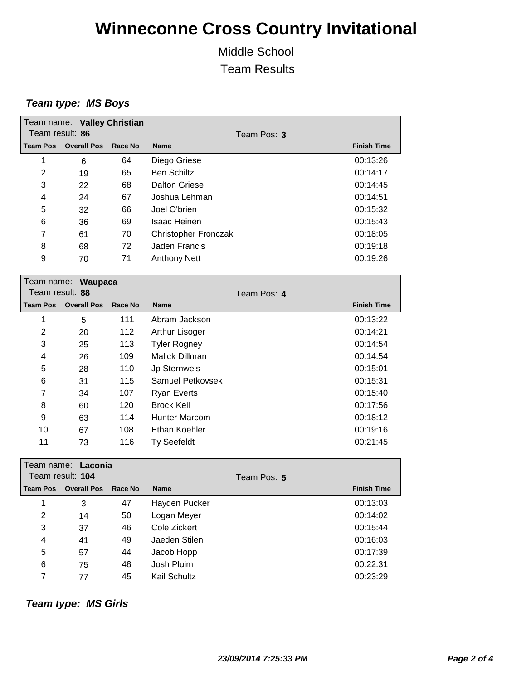Middle School Team Results

#### *Team type: MS Boys*

| Team result: 86         | Team name: Valley Christian |         | Team Pos: 3                 |                    |
|-------------------------|-----------------------------|---------|-----------------------------|--------------------|
| <b>Team Pos</b>         | <b>Overall Pos</b>          | Race No | <b>Name</b>                 | <b>Finish Time</b> |
| 1                       | 6                           | 64      | Diego Griese                | 00:13:26           |
| 2                       | 19                          | 65      | <b>Ben Schiltz</b>          | 00:14:17           |
| 3                       | 22                          | 68      | Dalton Griese               | 00:14:45           |
| 4                       | 24                          | 67      | Joshua Lehman               | 00:14:51           |
| 5                       | 32                          | 66      | Joel O'brien                | 00:15:32           |
| 6                       | 36                          | 69      | <b>Isaac Heinen</b>         | 00:15:43           |
| 7                       | 61                          | 70      | <b>Christopher Fronczak</b> | 00:18:05           |
| 8                       | 68                          | 72      | Jaden Francis               | 00:19:18           |
| 9                       | 70                          | 71      | <b>Anthony Nett</b>         | 00:19:26           |
| Team name:<br>_________ | <b>Waupaca</b>              |         |                             |                    |

| Team result: 88 |                    |         | Team Pos: 4         |  |                    |
|-----------------|--------------------|---------|---------------------|--|--------------------|
| <b>Team Pos</b> | <b>Overall Pos</b> | Race No | <b>Name</b>         |  | <b>Finish Time</b> |
| 1               | 5                  | 111     | Abram Jackson       |  | 00:13:22           |
| $\overline{2}$  | 20                 | 112     | Arthur Lisoger      |  | 00:14:21           |
| 3               | 25                 | 113     | <b>Tyler Rogney</b> |  | 00:14:54           |
| 4               | 26                 | 109     | Malick Dillman      |  | 00:14:54           |
| 5               | 28                 | 110     | <b>Jp Sternweis</b> |  | 00:15:01           |
| 6               | 31                 | 115     | Samuel Petkovsek    |  | 00:15:31           |
| 7               | 34                 | 107     | Ryan Everts         |  | 00:15:40           |
| 8               | 60                 | 120     | <b>Brock Keil</b>   |  | 00:17:56           |
| 9               | 63                 | 114     | Hunter Marcom       |  | 00:18:12           |
| 10              | 67                 | 108     | Ethan Koehler       |  | 00:19:16           |
| 11              | 73                 | 116     | Ty Seefeldt         |  | 00:21:45           |

| Team name: Laconia<br>Team result: 104 |                    |         |               | Team Pos: 5 |                    |
|----------------------------------------|--------------------|---------|---------------|-------------|--------------------|
| <b>Team Pos</b>                        | <b>Overall Pos</b> | Race No | <b>Name</b>   |             | <b>Finish Time</b> |
| 1                                      | 3                  | 47      | Hayden Pucker |             | 00:13:03           |
| 2                                      | 14                 | 50      | Logan Meyer   |             | 00:14:02           |
| 3                                      | 37                 | 46      | Cole Zickert  |             | 00:15:44           |
| $\overline{4}$                         | 41                 | 49      | Jaeden Stilen |             | 00:16:03           |
| 5                                      | 57                 | 44      | Jacob Hopp    |             | 00:17:39           |
| 6                                      | 75                 | 48      | Josh Pluim    |             | 00:22:31           |
| 7                                      | 77                 | 45      | Kail Schultz  |             | 00:23:29           |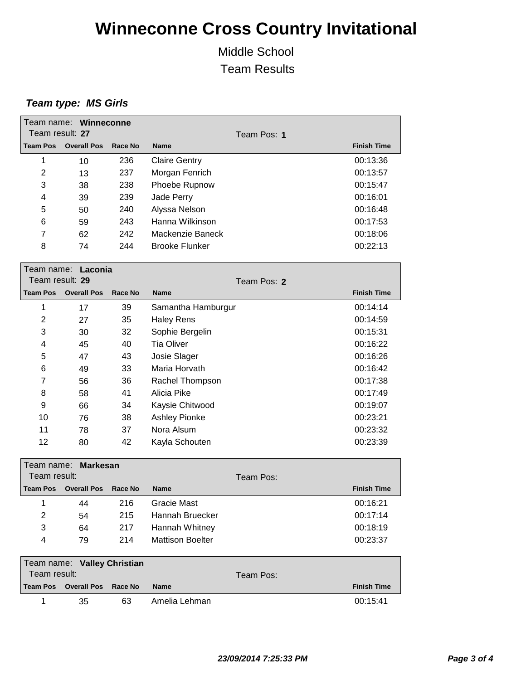Middle School Team Results

| Team result: 27 | Team name: Winneconne       |         |                         |                                   |
|-----------------|-----------------------------|---------|-------------------------|-----------------------------------|
| <b>Team Pos</b> | <b>Overall Pos</b>          | Race No | <b>Name</b>             | Team Pos: 1<br><b>Finish Time</b> |
|                 |                             |         |                         |                                   |
| 1               | 10                          | 236     | <b>Claire Gentry</b>    | 00:13:36                          |
| $\overline{2}$  | 13                          | 237     | Morgan Fenrich          | 00:13:57                          |
| 3               | 38                          | 238     | Phoebe Rupnow           | 00:15:47                          |
| 4               | 39                          | 239     | Jade Perry              | 00:16:01                          |
| 5               | 50                          | 240     | Alyssa Nelson           | 00:16:48                          |
| 6               | 59                          | 243     | Hanna Wilkinson         | 00:17:53                          |
| 7               | 62                          | 242     | Mackenzie Baneck        | 00:18:06                          |
| 8               | 74                          | 244     | <b>Brooke Flunker</b>   | 00:22:13                          |
|                 | Team name: Laconia          |         |                         |                                   |
| Team result: 29 |                             |         |                         | Team Pos: 2                       |
| <b>Team Pos</b> | <b>Overall Pos</b>          | Race No | <b>Name</b>             | <b>Finish Time</b>                |
| 1               | 17                          | 39      | Samantha Hamburgur      | 00:14:14                          |
| 2               | 27                          | 35      | <b>Haley Rens</b>       | 00:14:59                          |
| 3               | 30                          | 32      | Sophie Bergelin         | 00:15:31                          |
| 4               | 45                          | 40      | <b>Tia Oliver</b>       | 00:16:22                          |
| 5               | 47                          | 43      | Josie Slager            | 00:16:26                          |
| 6               | 49                          | 33      | Maria Horvath           | 00:16:42                          |
| 7               | 56                          | 36      | Rachel Thompson         | 00:17:38                          |
| 8               | 58                          | 41      | Alicia Pike             | 00:17:49                          |
| 9               | 66                          | 34      | Kaysie Chitwood         | 00:19:07                          |
| 10              | 76                          | 38      | <b>Ashley Pionke</b>    | 00:23:21                          |
| 11              | 78                          | 37      | Nora Alsum              | 00:23:32                          |
| 12              | 80                          | 42      | Kayla Schouten          | 00:23:39                          |
|                 | Team name: Markesan         |         |                         |                                   |
| Team result:    |                             |         |                         | Team Pos:                         |
| <b>Team Pos</b> | <b>Overall Pos</b>          | Race No | Name                    | <b>Finish Time</b>                |
| $\mathbf{1}$    | 44                          | 216     | Gracie Mast             | 00:16:21                          |
| 2               | 54                          | 215     | Hannah Bruecker         | 00:17:14                          |
| 3               | 64                          | 217     | Hannah Whitney          | 00:18:19                          |
| 4               | 79                          | 214     | <b>Mattison Boelter</b> | 00:23:37                          |
|                 | Team name: Valley Christian |         |                         |                                   |
| Team result:    |                             |         |                         | Team Pos:                         |
| <b>Team Pos</b> | <b>Overall Pos</b>          | Race No | <b>Name</b>             | <b>Finish Time</b>                |
| $\mathbf{1}$    | 35                          | 63      | Amelia Lehman           | 00:15:41                          |